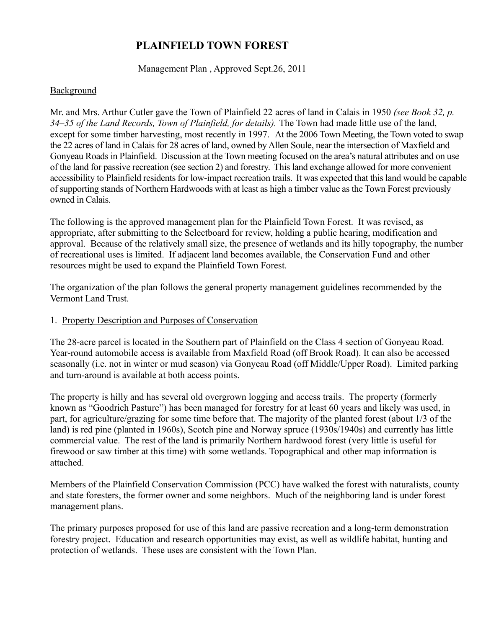# **PLAINFIELD TOWN FOREST**

Management Plan , Approved Sept.26, 2011

#### **Background**

Mr. and Mrs. Arthur Cutler gave the Town of Plainfield 22 acres of land in Calais in 1950 *(see Book 32, p. 34–35 of the Land Records, Town of Plainfield, for details).* The Town had made little use of the land, except for some timber harvesting, most recently in 1997. At the 2006 Town Meeting, the Town voted to swap the 22 acres of land in Calais for 28 acres of land, owned by Allen Soule, near the intersection of Maxfield and Gonyeau Roads in Plainfield. Discussion at the Town meeting focused on the area's natural attributes and on use of the land for passive recreation (see section 2) and forestry. This land exchange allowed for more convenient accessibility to Plainfield residents for low-impact recreation trails. It was expected that this land would be capable of supporting stands of Northern Hardwoods with at least as high a timber value as the Town Forest previously owned in Calais.

The following is the approved management plan for the Plainfield Town Forest. It was revised, as appropriate, after submitting to the Selectboard for review, holding a public hearing, modification and approval. Because of the relatively small size, the presence of wetlands and its hilly topography, the number of recreational uses is limited. If adjacent land becomes available, the Conservation Fund and other resources might be used to expand the Plainfield Town Forest.

The organization of the plan follows the general property management guidelines recommended by the Vermont Land Trust.

#### 1. Property Description and Purposes of Conservation

The 28-acre parcel is located in the Southern part of Plainfield on the Class 4 section of Gonyeau Road. Year-round automobile access is available from Maxfield Road (off Brook Road). It can also be accessed seasonally (i.e. not in winter or mud season) via Gonyeau Road (off Middle/Upper Road). Limited parking and turn-around is available at both access points.

The property is hilly and has several old overgrown logging and access trails. The property (formerly known as "Goodrich Pasture") has been managed for forestry for at least 60 years and likely was used, in part, for agriculture/grazing for some time before that. The majority of the planted forest (about 1/3 of the land) is red pine (planted in 1960s), Scotch pine and Norway spruce (1930s/1940s) and currently has little commercial value. The rest of the land is primarily Northern hardwood forest (very little is useful for firewood or saw timber at this time) with some wetlands. Topographical and other map information is attached.

Members of the Plainfield Conservation Commission (PCC) have walked the forest with naturalists, county and state foresters, the former owner and some neighbors. Much of the neighboring land is under forest management plans.

The primary purposes proposed for use of this land are passive recreation and a long-term demonstration forestry project. Education and research opportunities may exist, as well as wildlife habitat, hunting and protection of wetlands. These uses are consistent with the Town Plan.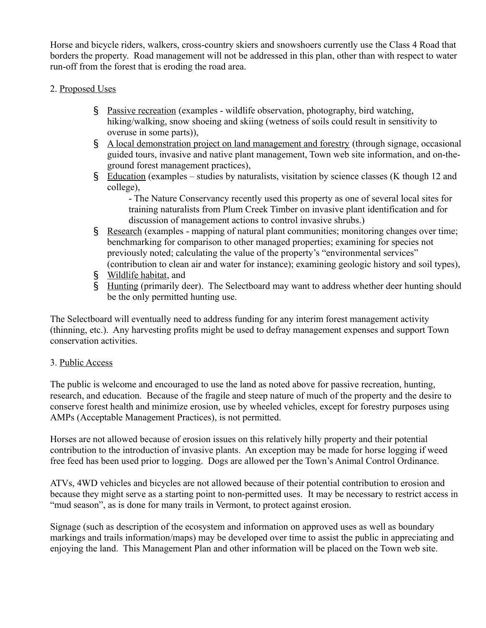Horse and bicycle riders, walkers, cross-country skiers and snowshoers currently use the Class 4 Road that borders the property. Road management will not be addressed in this plan, other than with respect to water run-off from the forest that is eroding the road area.

# 2. Proposed Uses

- § Passive recreation (examples wildlife observation, photography, bird watching, hiking/walking, snow shoeing and skiing (wetness of soils could result in sensitivity to overuse in some parts)),
- § A local demonstration project on land management and forestry (through signage, occasional guided tours, invasive and native plant management, Town web site information, and on-theground forest management practices),
- § Education (examples studies by naturalists, visitation by science classes (K though 12 and college),

- The Nature Conservancy recently used this property as one of several local sites for training naturalists from Plum Creek Timber on invasive plant identification and for discussion of management actions to control invasive shrubs.)

- § Research (examples mapping of natural plant communities; monitoring changes over time; benchmarking for comparison to other managed properties; examining for species not previously noted; calculating the value of the property's "environmental services" (contribution to clean air and water for instance); examining geologic history and soil types),
- § Wildlife habitat, and
- § Hunting (primarily deer). The Selectboard may want to address whether deer hunting should be the only permitted hunting use.

The Selectboard will eventually need to address funding for any interim forest management activity (thinning, etc.). Any harvesting profits might be used to defray management expenses and support Town conservation activities.

# 3. Public Access

The public is welcome and encouraged to use the land as noted above for passive recreation, hunting, research, and education. Because of the fragile and steep nature of much of the property and the desire to conserve forest health and minimize erosion, use by wheeled vehicles, except for forestry purposes using AMPs (Acceptable Management Practices), is not permitted.

Horses are not allowed because of erosion issues on this relatively hilly property and their potential contribution to the introduction of invasive plants. An exception may be made for horse logging if weed free feed has been used prior to logging. Dogs are allowed per the Town's Animal Control Ordinance.

ATVs, 4WD vehicles and bicycles are not allowed because of their potential contribution to erosion and because they might serve as a starting point to non-permitted uses. It may be necessary to restrict access in "mud season", as is done for many trails in Vermont, to protect against erosion.

Signage (such as description of the ecosystem and information on approved uses as well as boundary markings and trails information/maps) may be developed over time to assist the public in appreciating and enjoying the land. This Management Plan and other information will be placed on the Town web site.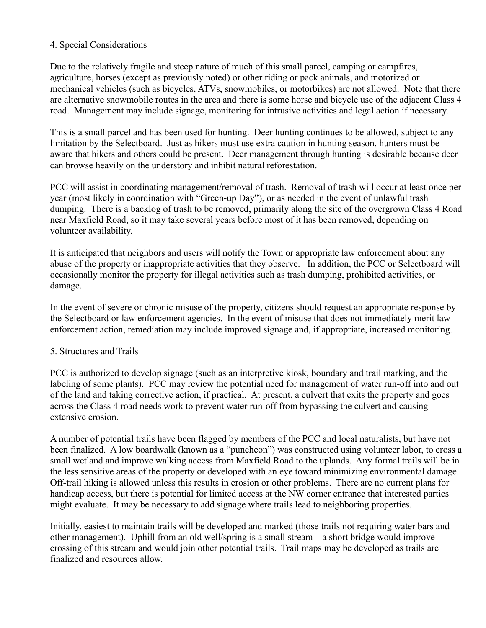# 4. Special Considerations

Due to the relatively fragile and steep nature of much of this small parcel, camping or campfires, agriculture, horses (except as previously noted) or other riding or pack animals, and motorized or mechanical vehicles (such as bicycles, ATVs, snowmobiles, or motorbikes) are not allowed. Note that there are alternative snowmobile routes in the area and there is some horse and bicycle use of the adjacent Class 4 road. Management may include signage, monitoring for intrusive activities and legal action if necessary.

This is a small parcel and has been used for hunting. Deer hunting continues to be allowed, subject to any limitation by the Selectboard. Just as hikers must use extra caution in hunting season, hunters must be aware that hikers and others could be present. Deer management through hunting is desirable because deer can browse heavily on the understory and inhibit natural reforestation.

PCC will assist in coordinating management/removal of trash. Removal of trash will occur at least once per year (most likely in coordination with "Green-up Day"), or as needed in the event of unlawful trash dumping. There is a backlog of trash to be removed, primarily along the site of the overgrown Class 4 Road near Maxfield Road, so it may take several years before most of it has been removed, depending on volunteer availability.

It is anticipated that neighbors and users will notify the Town or appropriate law enforcement about any abuse of the property or inappropriate activities that they observe. In addition, the PCC or Selectboard will occasionally monitor the property for illegal activities such as trash dumping, prohibited activities, or damage.

In the event of severe or chronic misuse of the property, citizens should request an appropriate response by the Selectboard or law enforcement agencies. In the event of misuse that does not immediately merit law enforcement action, remediation may include improved signage and, if appropriate, increased monitoring.

# 5. Structures and Trails

PCC is authorized to develop signage (such as an interpretive kiosk, boundary and trail marking, and the labeling of some plants). PCC may review the potential need for management of water run-off into and out of the land and taking corrective action, if practical. At present, a culvert that exits the property and goes across the Class 4 road needs work to prevent water run-off from bypassing the culvert and causing extensive erosion.

A number of potential trails have been flagged by members of the PCC and local naturalists, but have not been finalized. A low boardwalk (known as a "puncheon") was constructed using volunteer labor, to cross a small wetland and improve walking access from Maxfield Road to the uplands. Any formal trails will be in the less sensitive areas of the property or developed with an eye toward minimizing environmental damage. Off-trail hiking is allowed unless this results in erosion or other problems. There are no current plans for handicap access, but there is potential for limited access at the NW corner entrance that interested parties might evaluate. It may be necessary to add signage where trails lead to neighboring properties.

Initially, easiest to maintain trails will be developed and marked (those trails not requiring water bars and other management). Uphill from an old well/spring is a small stream – a short bridge would improve crossing of this stream and would join other potential trails. Trail maps may be developed as trails are finalized and resources allow.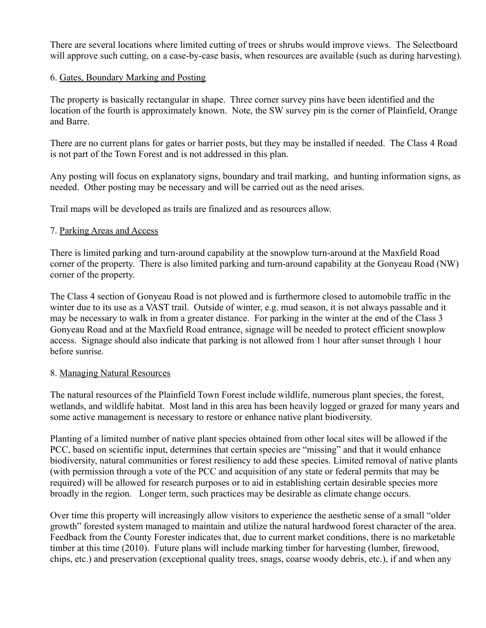There are several locations where limited cutting of trees or shrubs would improve views. The Selectboard will approve such cutting, on a case-by-case basis, when resources are available (such as during harvesting).

### 6. Gates, Boundary Marking and Posting

The property is basically rectangular in shape. Three corner survey pins have been identified and the location of the fourth is approximately known. Note, the SW survey pin is the corner of Plainfield, Orange and Barre.

There are no current plans for gates or barrier posts, but they may be installed if needed. The Class 4 Road is not part of the Town Forest and is not addressed in this plan.

Any posting will focus on explanatory signs, boundary and trail marking, and hunting information signs, as needed. Other posting may be necessary and will be carried out as the need arises.

Trail maps will be developed as trails are finalized and as resources allow.

# 7. Parking Areas and Access

There is limited parking and turn-around capability at the snowplow turn-around at the Maxfield Road corner of the property. There is also limited parking and turn-around capability at the Gonyeau Road (NW) corner of the property.

The Class 4 section of Gonyeau Road is not plowed and is furthermore closed to automobile traffic in the winter due to its use as a VAST trail. Outside of winter, e.g. mud season, it is not always passable and it may be necessary to walk in from a greater distance. For parking in the winter at the end of the Class 3 Gonyeau Road and at the Maxfield Road entrance, signage will be needed to protect efficient snowplow access. Signage should also indicate that parking is not allowed from 1 hour after sunset through 1 hour before sunrise.

#### 8. Managing Natural Resources

The natural resources of the Plainfield Town Forest include wildlife, numerous plant species, the forest, wetlands, and wildlife habitat. Most land in this area has been heavily logged or grazed for many years and some active management is necessary to restore or enhance native plant biodiversity.

Planting of a limited number of native plant species obtained from other local sites will be allowed if the PCC, based on scientific input, determines that certain species are "missing" and that it would enhance biodiversity, natural communities or forest resiliency to add these species. Limited removal of native plants (with permission through a vote of the PCC and acquisition of any state or federal permits that may be required) will be allowed for research purposes or to aid in establishing certain desirable species more broadly in the region. Longer term, such practices may be desirable as climate change occurs.

Over time this property will increasingly allow visitors to experience the aesthetic sense of a small "older growth" forested system managed to maintain and utilize the natural hardwood forest character of the area. Feedback from the County Forester indicates that, due to current market conditions, there is no marketable timber at this time (2010). Future plans will include marking timber for harvesting (lumber, firewood, chips, etc.) and preservation (exceptional quality trees, snags, coarse woody debris, etc.), if and when any